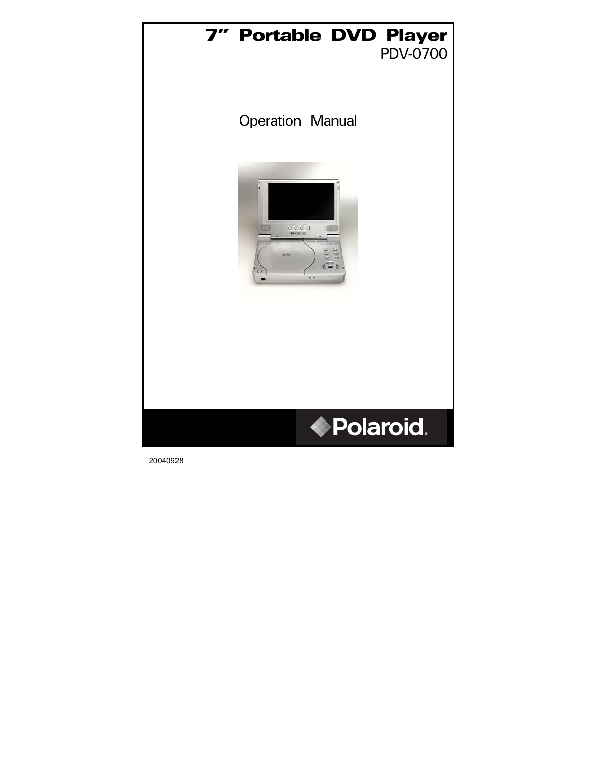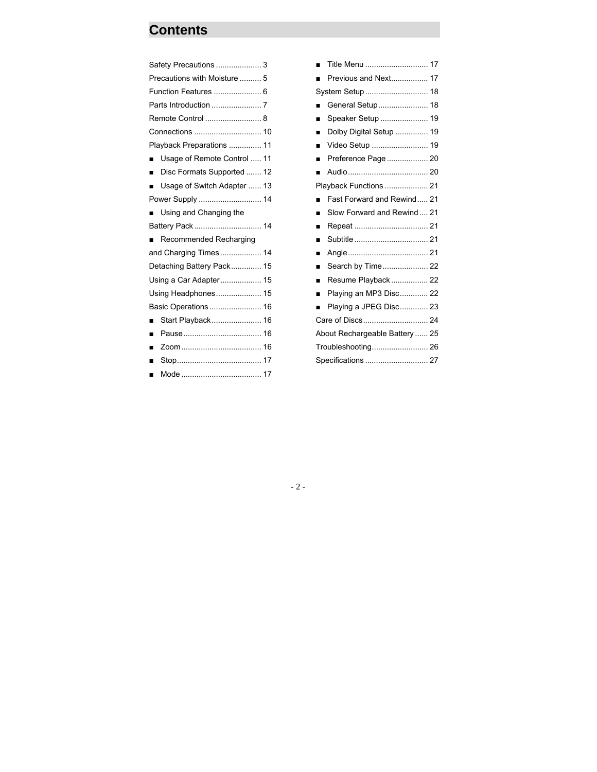## **Contents**

| Safety Precautions  3                        |  |  |  |
|----------------------------------------------|--|--|--|
| Precautions with Moisture  5                 |  |  |  |
|                                              |  |  |  |
|                                              |  |  |  |
|                                              |  |  |  |
|                                              |  |  |  |
| Playback Preparations  11                    |  |  |  |
| Usage of Remote Control  11                  |  |  |  |
| Disc Formats Supported  12<br>$\blacksquare$ |  |  |  |
| Usage of Switch Adapter  13<br>٠             |  |  |  |
| Power Supply  14                             |  |  |  |
| Using and Changing the                       |  |  |  |
| Battery Pack  14                             |  |  |  |
| Recommended Recharging                       |  |  |  |
| and Charging Times 14                        |  |  |  |
| Detaching Battery Pack 15                    |  |  |  |
| Using a Car Adapter 15                       |  |  |  |
| Using Headphones 15                          |  |  |  |
| Basic Operations  16                         |  |  |  |
| Start Playback 16<br>۳                       |  |  |  |
| ■                                            |  |  |  |
| ■                                            |  |  |  |
| ▬                                            |  |  |  |
|                                              |  |  |  |

|                                | Title Menu  17             |  |  |
|--------------------------------|----------------------------|--|--|
|                                | Previous and Next 17       |  |  |
|                                | System Setup  18           |  |  |
|                                | General Setup 18           |  |  |
| ■                              | Speaker Setup  19          |  |  |
|                                | Dolby Digital Setup  19    |  |  |
| ■                              | Video Setup  19            |  |  |
| ■                              | Preference Page 20         |  |  |
|                                |                            |  |  |
|                                | Playback Functions  21     |  |  |
|                                | Fast Forward and Rewind 21 |  |  |
|                                | Slow Forward and Rewind 21 |  |  |
| ■                              | Repeat  21                 |  |  |
| ■                              | Subtitle  21               |  |  |
| ■                              |                            |  |  |
| ■                              | Search by Time 22          |  |  |
| ■                              | Resume Playback 22         |  |  |
| ■                              | Playing an MP3 Disc 22     |  |  |
|                                | Playing a JPEG Disc 23     |  |  |
|                                |                            |  |  |
| About Rechargeable Battery  25 |                            |  |  |
| Troubleshooting 26             |                            |  |  |
| Specifications  27             |                            |  |  |

- 2 -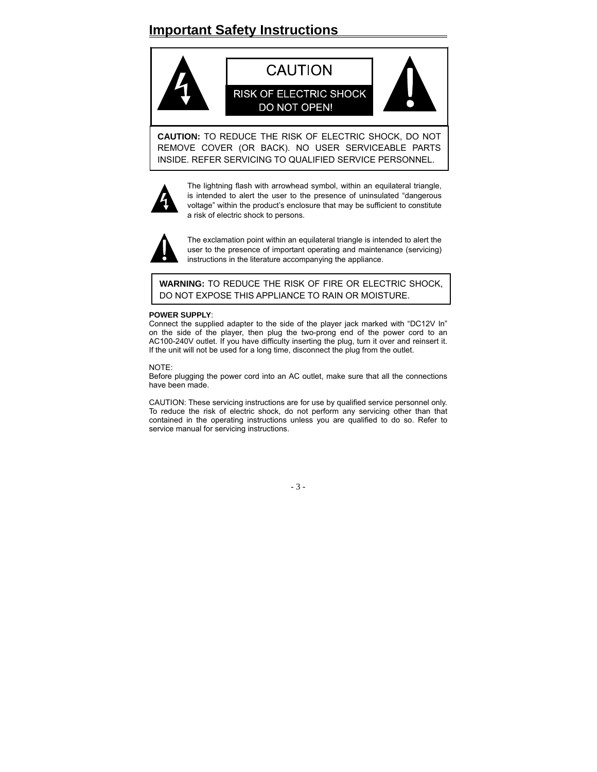## **Important Safety Instructions**



**CAUTION:** TO REDUCE THE RISK OF ELECTRIC SHOCK, DO NOT REMOVE COVER (OR BACK). NO USER SERVICEABLE PARTS INSIDE. REFER SERVICING TO QUALIFIED SERVICE PERSONNEL.



The lightning flash with arrowhead symbol, within an equilateral triangle, is intended to alert the user to the presence of uninsulated "dangerous voltage" within the product's enclosure that may be sufficient to constitute a risk of electric shock to persons.



The exclamation point within an equilateral triangle is intended to alert the user to the presence of important operating and maintenance (servicing) instructions in the literature accompanying the appliance.

**WARNING:** TO REDUCE THE RISK OF FIRE OR ELECTRIC SHOCK, DO NOT EXPOSE THIS APPLIANCE TO RAIN OR MOISTURE.

#### **POWER SUPPLY**:

Connect the supplied adapter to the side of the player jack marked with "DC12V In" on the side of the player, then plug the two-prong end of the power cord to an AC100-240V outlet. If you have difficulty inserting the plug, turn it over and reinsert it. If the unit will not be used for a long time, disconnect the plug from the outlet.

NOTE:

Before plugging the power cord into an AC outlet, make sure that all the connections have been made.

CAUTION: These servicing instructions are for use by qualified service personnel only. To reduce the risk of electric shock, do not perform any servicing other than that contained in the operating instructions unless you are qualified to do so. Refer to service manual for servicing instructions.

- 3 -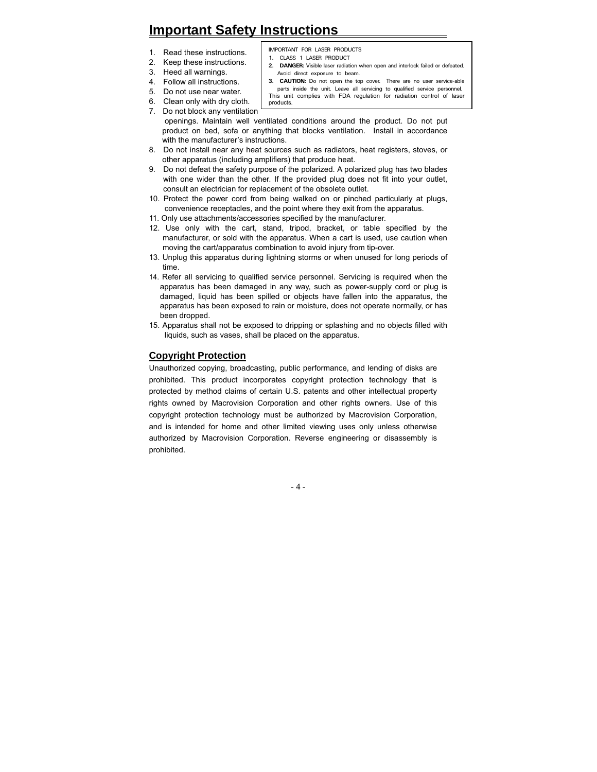## **Important Safety Instructions**

- 1. Read these instructions.
- 2. Keep these instructions.
- 3. Heed all warnings.
- **1.** CLASS 1 LASER PRODUCT **2. DANGER:** Visible laser radiation when open and interlock failed or defeated.

IMPORTANT FOR LASER PRODUCTS

- 
- 4. Follow all instructions.
- 5. Do not use near water.
- 6. Clean only with dry cloth.
- Avoid direct exposure to beam.
- **3. CAUTION:** Do not open the top cover. There are no user service-able parts inside the unit. Leave all servicing to qualified service personnel. This unit complies with FDA regulation for radiation control of laser products.
- 7. Do not block any ventilation
	- openings. Maintain well ventilated conditions around the product. Do not put product on bed, sofa or anything that blocks ventilation. Install in accordance with the manufacturer's instructions.
- 8. Do not install near any heat sources such as radiators, heat registers, stoves, or other apparatus (including amplifiers) that produce heat.
- 9. Do not defeat the safety purpose of the polarized. A polarized plug has two blades with one wider than the other. If the provided plug does not fit into your outlet, consult an electrician for replacement of the obsolete outlet.
- 10. Protect the power cord from being walked on or pinched particularly at plugs, convenience receptacles, and the point where they exit from the apparatus.
- 11. Only use attachments/accessories specified by the manufacturer.
- 12. Use only with the cart, stand, tripod, bracket, or table specified by the manufacturer, or sold with the apparatus. When a cart is used, use caution when moving the cart/apparatus combination to avoid injury from tip-over.
- 13. Unplug this apparatus during lightning storms or when unused for long periods of time.
- 14. Refer all servicing to qualified service personnel. Servicing is required when the apparatus has been damaged in any way, such as power-supply cord or plug is damaged, liquid has been spilled or objects have fallen into the apparatus, the apparatus has been exposed to rain or moisture, does not operate normally, or has been dropped.
- 15. Apparatus shall not be exposed to dripping or splashing and no objects filled with liquids, such as vases, shall be placed on the apparatus.

#### **Copyright Protection**

Unauthorized copying, broadcasting, public performance, and lending of disks are prohibited. This product incorporates copyright protection technology that is protected by method claims of certain U.S. patents and other intellectual property rights owned by Macrovision Corporation and other rights owners. Use of this copyright protection technology must be authorized by Macrovision Corporation, and is intended for home and other limited viewing uses only unless otherwise authorized by Macrovision Corporation. Reverse engineering or disassembly is prohibited.

- 4 -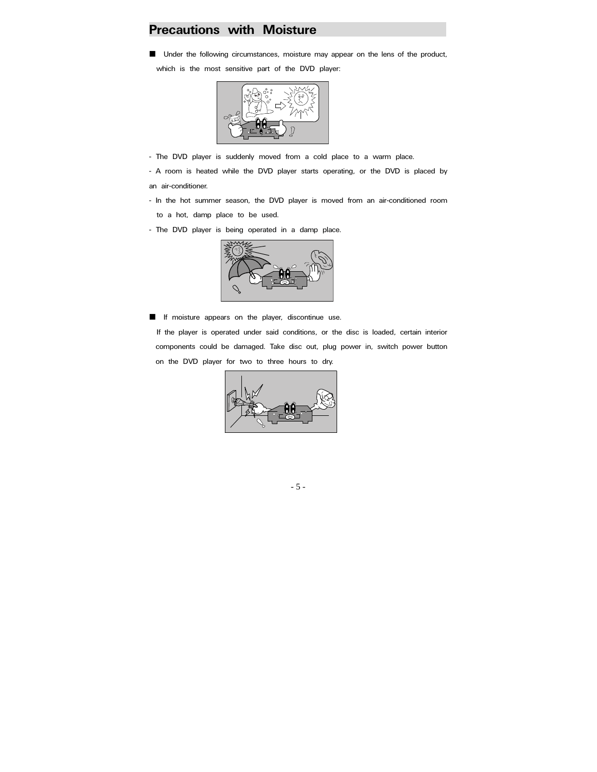### **Precautions with Moisture**

**I** Under the following circumstances, moisture may appear on the lens of the product,

which is the most sensitive part of the DVD player:



- The DVD player is suddenly moved from a cold place to a warm place.

- A room is heated while the DVD player starts operating, or the DVD is placed by an air-conditioner.

- In the hot summer season, the DVD player is moved from an air-conditioned room
	- to a hot, damp place to be used.
- The DVD player is being operated in a damp place.



 If moisture appears on the player, discontinue use. If the player is operated under said conditions, or the disc is loaded, certain interior components could be damaged. Take disc out, plug power in, switch power button on the DVD player for two to three hours to dry.



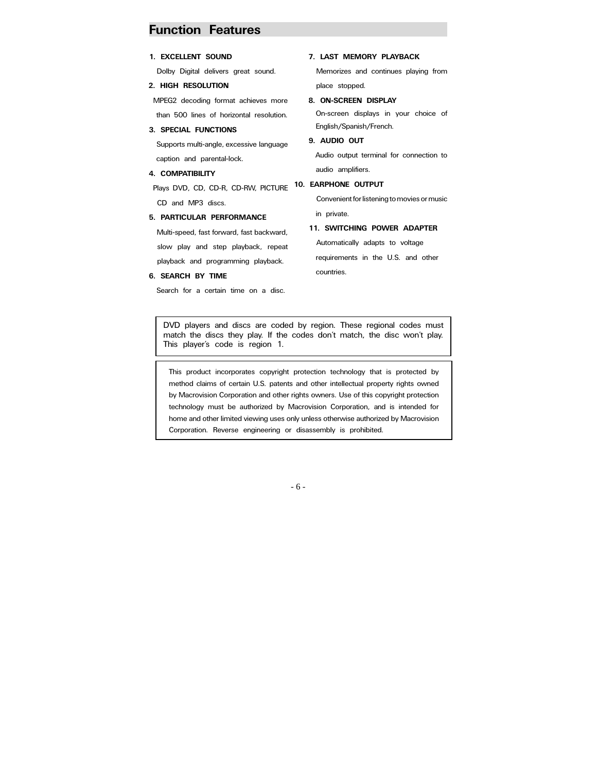### **Function Features**

slow play and step playback, repeat playback and programming playback.

Search for a certain time on a disc.

**6. SEARCH BY TIME** 

| 7. LAST MEMORY PLAYBACK                     |
|---------------------------------------------|
| Memorizes and continues playing from        |
| place stopped.                              |
| 8. ON-SCREEN DISPLAY                        |
| On-screen displays in your choice of        |
| English/Spanish/French.                     |
| 9. AUDIO OUT                                |
| Audio output terminal for connection to     |
| audio amplifiers.                           |
| <b>10. EARPHONE OUTPUT</b>                  |
| Convenient for listening to movies or music |
| in private.                                 |
| 11. SWITCHING POWER ADAPTER                 |
|                                             |

Automatically adapts to voltage requirements in the U.S. and other countries.

DVD players and discs are coded by region. These regional codes must match the discs they play. If the codes don't match, the disc won't play. This player's code is region 1.

This product incorporates copyright protection technology that is protected by method claims of certain U.S. patents and other intellectual property rights owned by Macrovision Corporation and other rights owners. Use of this copyright protection technology must be authorized by Macrovision Corporation, and is intended for home and other limited viewing uses only unless otherwise authorized by Macrovision Corporation. Reverse engineering or disassembly is prohibited.

- 6 -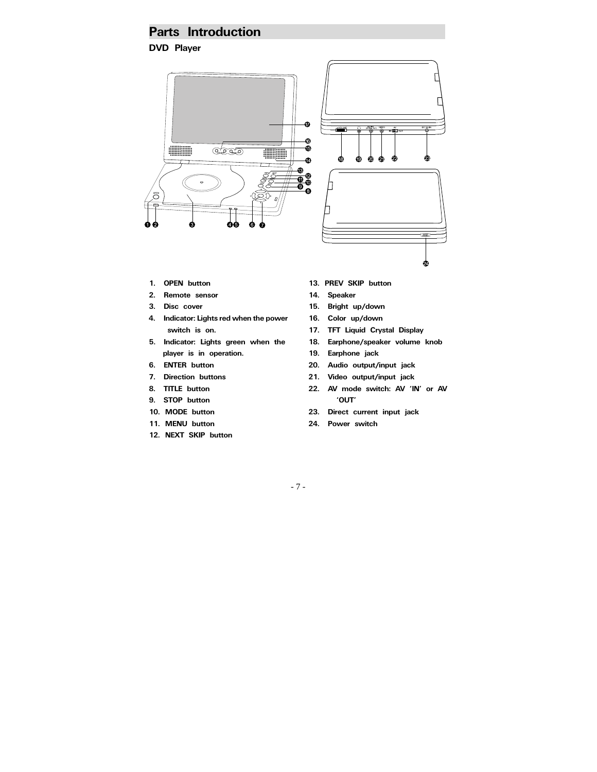### **Parts Introduction**

**DVD Player** 



- **1. OPEN button**
- **2. Remote sensor**
- **3. Disc cover**
- **4. Indicator: Lights red when the power switch is on.**
- **5. Indicator: Lights green when the player is in operation.**
- **6. ENTER button**
- **7. Direction buttons**
- **8. TITLE button**
- **9. STOP button**
- **10. MODE button**
- **11. MENU button**
- **12. NEXT SKIP button**
- **13. PREV SKIP button**
- **14. Speaker**
- **15. Bright up/down**
- **16. Color up/down**
- **17. TFT Liquid Crystal Display**
- **18. Earphone/speaker volume knob**
- **19. Earphone jack**
- **20. Audio output/input jack**
- **21. Video output/input jack**
- **22. AV mode switch: AV 'IN' or AV 'OUT'**
- **23. Direct current input jack**
- **24. Power switch**

- 7 -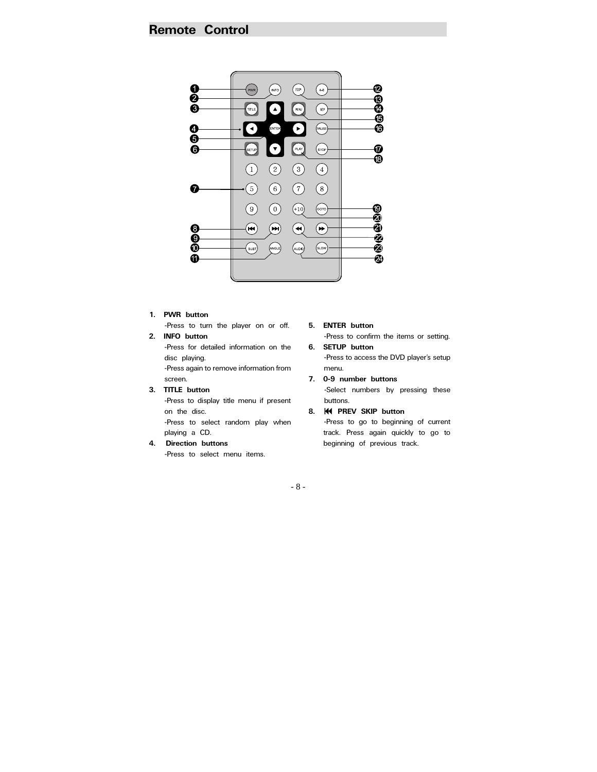### **Remote Control**



#### **1. PWR button**

-Press to turn the player on or off. **2. INFO button**

-Press for detailed information on the disc playing. -Press again to remove information from

screen.

**3. TITLE button**

-Press to display title menu if present on the disc.

-Press to select random play when playing a CD.

#### **4. Direction buttons**

-Press to select menu items.

**5. ENTER button**  -Press to confirm the items or setting. **6. SETUP button**

-Press to access the DVD player's setup menu.

**7. 0-9 number buttons**  -Select numbers by pressing these buttons.

#### **8. PREV SKIP button**  -Press to go to beginning of current track. Press again quickly to go to beginning of previous track.

- 8 -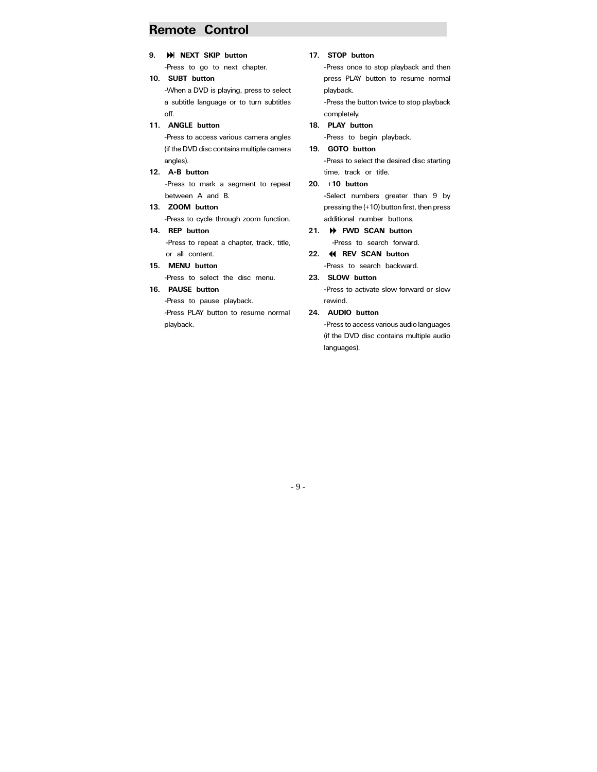### **Remote Control**

**9. NEXT SKIP button** 

-Press to go to next chapter.

- **10. SUBT button**  -When a DVD is playing, press to select a subtitle language or to turn subtitles off.
- **11. ANGLE button**

-Press to access various camera angles (if the DVD disc contains multiple camera angles).

**12. A-B button** 

-Press to mark a segment to repeat between A and B.

**13. ZOOM button**  -Press to cycle through zoom function. **14. REP button** 

-Press to repeat a chapter, track, title, or all content.

**15. MENU button** 

-Press to select the disc menu.

**16. PAUSE button**

-Press to pause playback. -Press PLAY button to resume normal playback.

#### **17. STOP button**

-Press once to stop playback and then press PLAY button to resume normal playback.

-Press the button twice to stop playback completely.

- **18. PLAY button**  -Press to begin playback.
- **19. GOTO button** -Press to select the desired disc starting time, track or title.
- **20. +10 button**  -Select numbers greater than 9 by pressing the (+10) button first, then press additional number buttons.
- **21. FWD SCAN button**  -Press to search forward.
- **22. REV SCAN button**  -Press to search backward.
- **23. SLOW button**

-Press to activate slow forward or slow rewind.

**24. AUDIO button** 

-Press to access various audio languages (if the DVD disc contains multiple audio languages).

- 9 -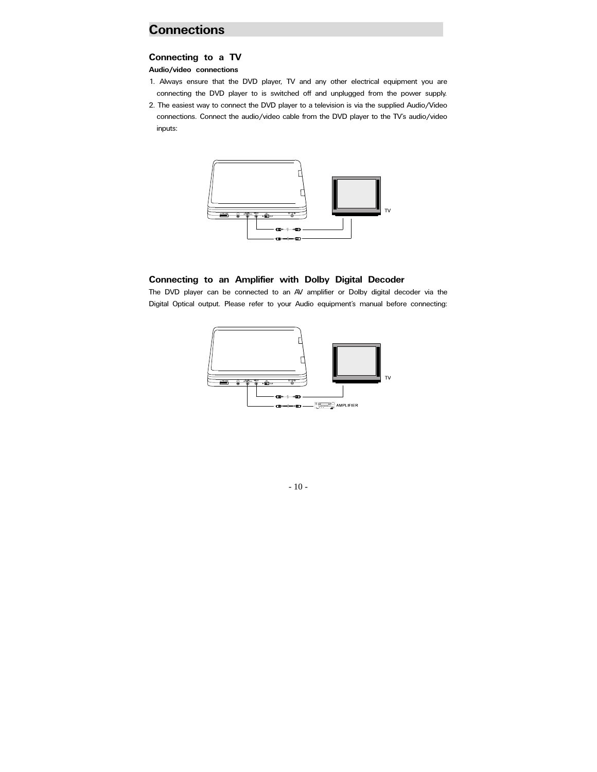### **Connections**

#### **Connecting to a TV**

**Audio/video connections** 

- 1. Always ensure that the DVD player, TV and any other electrical equipment you are connecting the DVD player to is switched off and unplugged from the power supply.
- 2. The easiest way to connect the DVD player to a television is via the supplied Audio/Video connections. Connect the audio/video cable from the DVD player to the TV's audio/video inputs:



### **Connecting to an Amplifier with Dolby Digital Decoder**

The DVD player can be connected to an AV amplifier or Dolby digital decoder via the Digital Optical output. Please refer to your Audio equipment's manual before connecting:



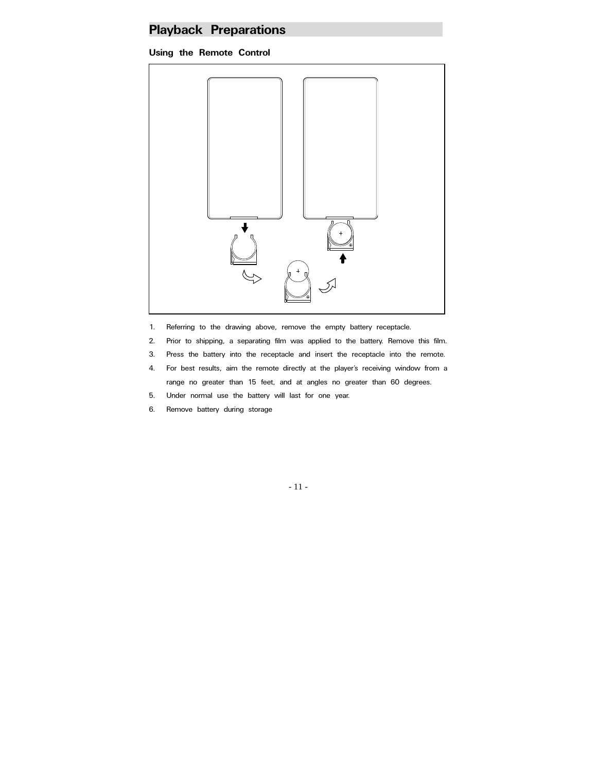## **Playback Preparations**

### **Using the Remote Control**



- 1. Referring to the drawing above, remove the empty battery receptacle.
- 2. Prior to shipping, a separating film was applied to the battery. Remove this film.
- 3. Press the battery into the receptacle and insert the receptacle into the remote.
- 4. For best results, aim the remote directly at the player's receiving window from a range no greater than 15 feet, and at angles no greater than 60 degrees.
- 5. Under normal use the battery will last for one year.
- 6. Remove battery during storage

- 11 -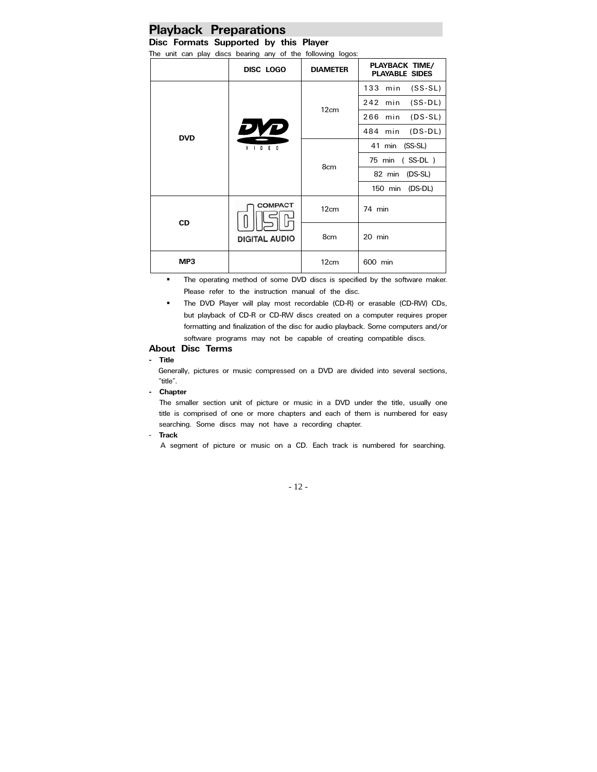# **Playback Preparations**<br>Disc Formats Supported by this Player

The unit can play discs bearing any of the following logos:

| no and can play also beamly any or the lollowing logos. |                                        |                 |                                         |
|---------------------------------------------------------|----------------------------------------|-----------------|-----------------------------------------|
|                                                         | DISC LOGO                              | <b>DIAMETER</b> | PLAYBACK TIME/<br><b>PLAYABLE SIDES</b> |
| <b>DVD</b>                                              | DYD<br>$V$   D E O                     | 12cm            | 133 min (SS-SL)                         |
|                                                         |                                        |                 | $(SS-DL)$<br>242 min                    |
|                                                         |                                        |                 | 266 min (DS-SL)                         |
|                                                         |                                        |                 | 484 min (DS-DL)                         |
|                                                         |                                        | 8cm             | 41 min (SS-SL)                          |
|                                                         |                                        |                 | 75 min (SS-DL)                          |
|                                                         |                                        |                 | 82 min (DS-SL)                          |
|                                                         |                                        |                 | 150 min (DS-DL)                         |
| <b>CD</b>                                               | <b>COMPACT</b><br><b>DIGITAL AUDIO</b> | 12cm            | 74 min                                  |
|                                                         |                                        | 8cm             | 20 min                                  |
| MP3                                                     |                                        | 12cm            | 600 min                                 |

**The operating method of some DVD discs is specified by the software maker.** Please refer to the instruction manual of the disc.

**The DVD Player will play most recordable (CD-R) or erasable (CD-RW) CDs,** but playback of CD-R or CD-RW discs created on a computer requires proper formatting and finalization of the disc for audio playback. Some computers and/or software programs may not be capable of creating compatible discs.

#### **About Disc Terms**

#### **- Title**

Generally, pictures or music compressed on a DVD are divided into several sections, "title".

### **- Chapter**

The smaller section unit of picture or music in a DVD under the title, usually one title is comprised of one or more chapters and each of them is numbered for easy searching. Some discs may not have a recording chapter.

#### - **Track**

A segment of picture or music on a CD. Each track is numbered for searching.

- 12 -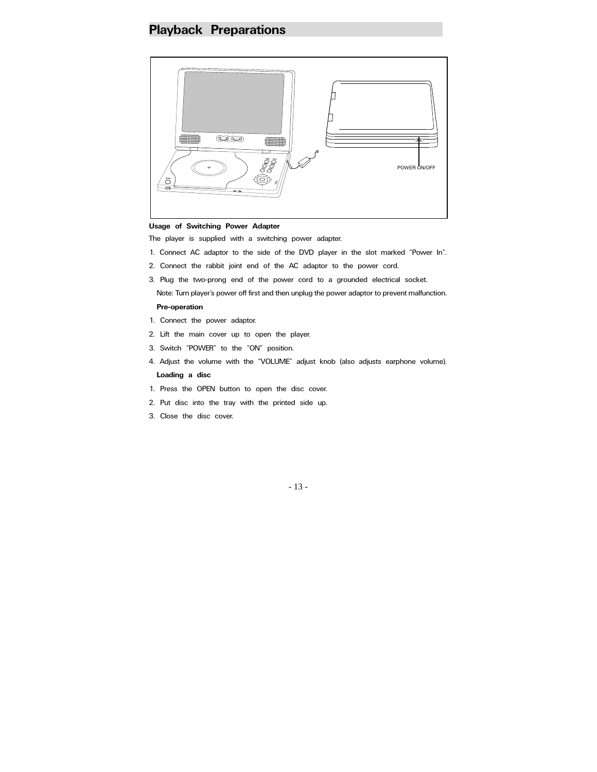### **Playback Preparations**



#### **Usage of Switching Power Adapter**

The player is supplied with a switching power adapter.

- 1. Connect AC adaptor to the side of the DVD player in the slot marked "Power In".
- 2. Connect the rabbit joint end of the AC adaptor to the power cord.
- 3. Plug the two-prong end of the power cord to a grounded electrical socket.

Note: Turn player's power off first and then unplug the power adaptor to prevent malfunction. **Pre-operation** 

- 1. Connect the power adaptor.
- 2. Lift the main cover up to open the player.
- 3. Switch "POWER" to the "ON" position.
- 4. Adjust the volume with the "VOLUME" adjust knob (also adjusts earphone volume). **Loading a disc**
- 1. Press the OPEN button to open the disc cover.
- 2. Put disc into the tray with the printed side up.
- 3. Close the disc cover.

- 13 -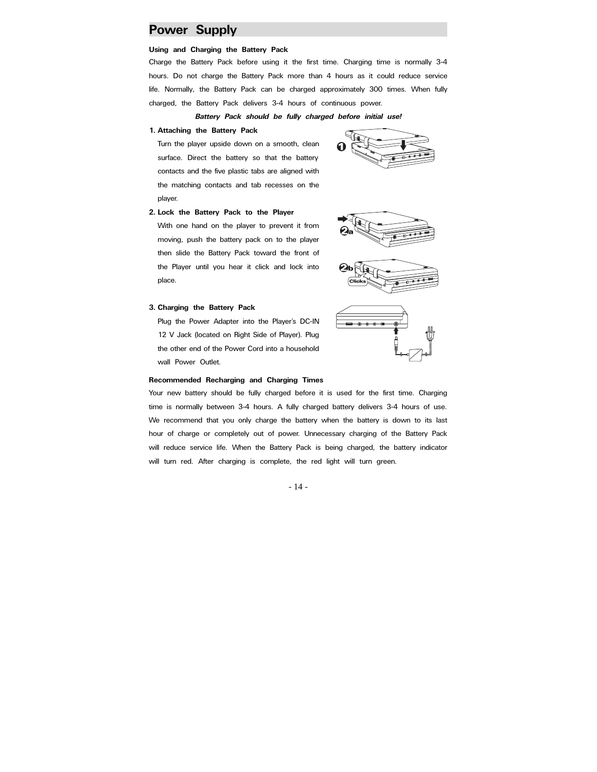### **Power Supply**

#### **Using and Charging the Battery Pack**

Charge the Battery Pack before using it the first time. Charging time is normally 3-4 hours. Do not charge the Battery Pack more than 4 hours as it could reduce service life. Normally, the Battery Pack can be charged approximately 300 times. When fully charged, the Battery Pack delivers 3-4 hours of continuous power.

*Battery Pack should be fully charged before initial use!* 

**1. Attaching the Battery Pack** 

Turn the player upside down on a smooth, clean surface. Direct the battery so that the battery contacts and the five plastic tabs are aligned with the matching contacts and tab recesses on the player.



#### **2. Lock the Battery Pack to the Player**

With one hand on the player to prevent it from moving, push the battery pack on to the player then slide the Battery Pack toward the front of the Player until you hear it click and lock into place.



#### **3. Charging the Battery Pack**

Plug the Power Adapter into the Player's DC-IN 12 V Jack (located on Right Side of Player). Plug the other end of the Power Cord into a household wall Power Outlet.



#### **Recommended Recharging and Charging Times**

Your new battery should be fully charged before it is used for the first time. Charging time is normally between 3-4 hours. A fully charged battery delivers 3-4 hours of use. We recommend that you only charge the battery when the battery is down to its last hour of charge or completely out of power. Unnecessary charging of the Battery Pack will reduce service life. When the Battery Pack is being charged, the battery indicator will turn red. After charging is complete, the red light will turn green.

- 14 -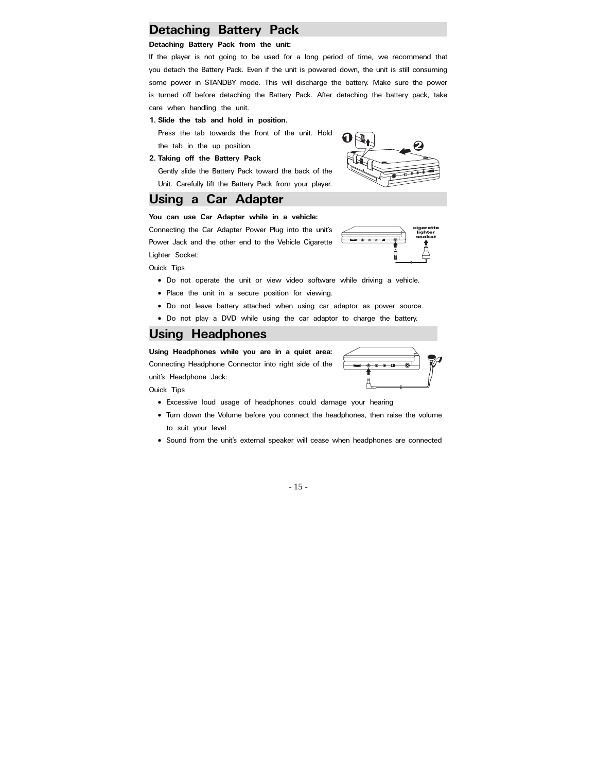# **Detaching Battery Pack Detaching Battery Pack**

If the player is not going to be used for a long period of time, we recommend that you detach the Battery Pack. Even if the unit is powered down, the unit is still consuming some power in STANDBY mode. This will discharge the battery. Make sure the power is turned off before detaching the Battery Pack. After detaching the battery pack, take care when handling the unit.

**1. Slide the tab and hold in position.** 

Press the tab towards the front of the unit. Hold the tab in the up position.

**2. Taking off the Battery Pack** 

Gently slide the Battery Pack toward the back of the Unit. Carefully lift the Battery Pack from your player.

### **Using a Car Adapter**

#### **You can use Car Adapter while in a vehicle:**

Connecting the Car Adapter Power Plug into the unit's Power Jack and the other end to the Vehicle Cigarette Lighter Socket:



Quick Tips

- Do not operate the unit or view video software while driving a vehicle.
- Place the unit in a secure position for viewing.
- Do not leave battery attached when using car adaptor as power source.
- Do not play a DVD while using the car adaptor to charge the battery.

### **Using Headphones**

**Using Headphones while you are in a quiet area:** Connecting Headphone Connector into right side of the unit's Headphone Jack:



Quick Tips

- Excessive loud usage of headphones could damage your hearing
- Turn down the Volume before you connect the headphones, then raise the volume to suit your level
- Sound from the unit's external speaker will cease when headphones are connected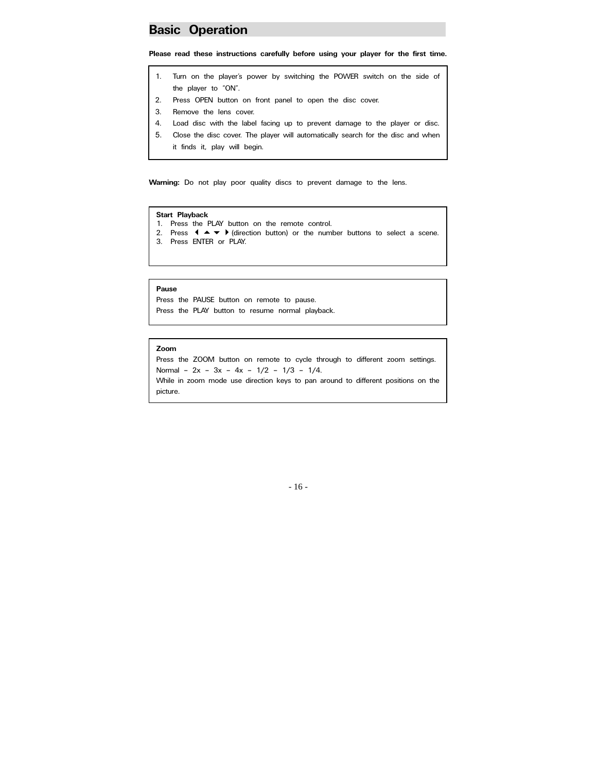### **Basic Operation**

**Please read these instructions carefully before using your player for the first time.**

- 1. Turn on the player's power by switching the POWER switch on the side of the player to "ON".
- 2. Press OPEN button on front panel to open the disc cover.
- 3. Remove the lens cover.
- 4. Load disc with the label facing up to prevent damage to the player or disc.
- 5. Close the disc cover. The player will automatically search for the disc and when it finds it, play will begin.

**Warning:** Do not play poor quality discs to prevent damage to the lens.

#### **Start Playback**

- 1. Press the PLAY button on the remote control.
- 2. Press  $\blacklozenge \blacktriangle \blacktriangleright$  (direction button) or the number buttons to select a scene.
- 3. Press ENTER or PLAY.

#### **Pause**

Press the PAUSE button on remote to pause. Press the PLAY button to resume normal playback.

#### **Zoom**

Press the ZOOM button on remote to cycle through to different zoom settings. Normal – 2x – 3x – 4x – 1/2 – 1/3 – 1/4. While in zoom mode use direction keys to pan around to different positions on the

picture.

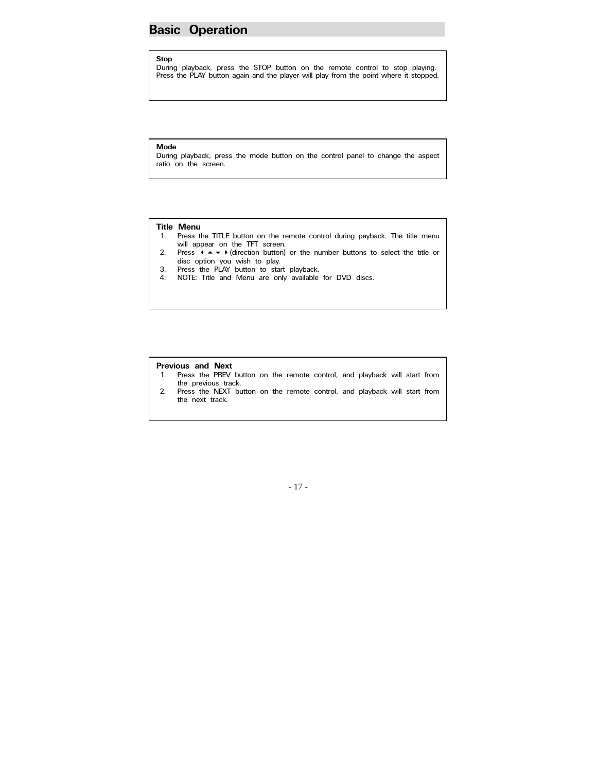### **Basic Operation**

#### **Stop**

During playback, press the STOP button on the remote control to stop playing. Press the PLAY button again and the player will play from the point where it stopped.

#### **Mode**

During playback, press the mode button on the control panel to change the aspect ratio on the screen.

#### **Title Menu**

- 1. Press the TITLE button on the remote control during payback. The title menu will appear on the TFT screen.
- 2. Press  $\mathbf{A} \rightarrow \mathbf{B}$  (direction button) or the number buttons to select the title or disc option you wish to play.
- 3. Press the PLAY button to start playback.
- 4. NOTE: Title and Menu are only available for DVD discs.

#### **Previous and Next**

- 1. Press the PREV button on the remote control, and playback will start from the previous track.
- 2. Press the NEXT button on the remote control, and playback will start from the next track.

### - 17 -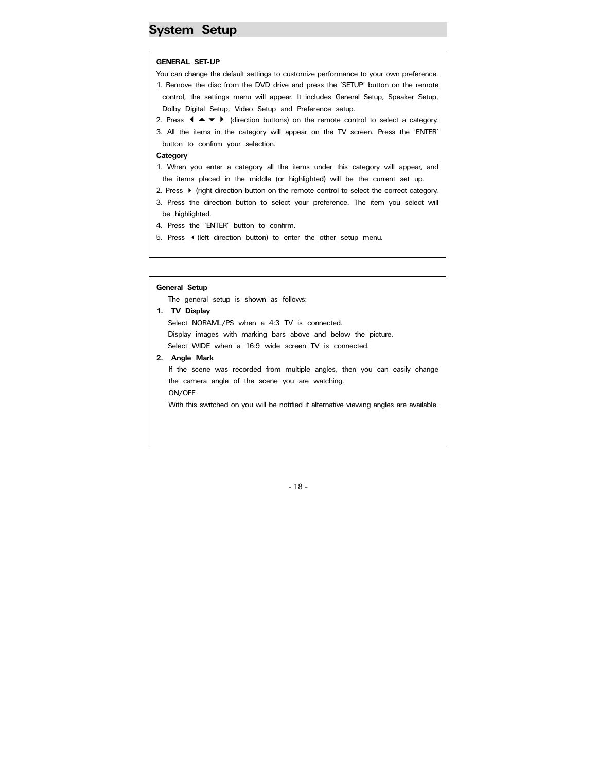### **System Setup**

#### **GENERAL SET-UP**

- You can change the default settings to customize performance to your own preference.
- 1. Remove the disc from the DVD drive and press the 'SETUP' button on the remote control, the settings menu will appear. It includes General Setup, Speaker Setup, Dolby Digital Setup, Video Setup and Preference setup.
- 2. Press  $\blacklozenge \blacktriangleright$  (direction buttons) on the remote control to select a category.
- 3. All the items in the category will appear on the TV screen. Press the 'ENTER' button to confirm your selection.

#### **Category**

 $\mathbb{R}$ 

- 1. When you enter a category all the items under this category will appear, and the items placed in the middle (or highlighted) will be the current set up.
- 2. Press  $\blacktriangleright$  (right direction button on the remote control to select the correct category.
- 3. Press the direction button to select your preference. The item you select will be highlighted.
- 4. Press the 'ENTER' button to confirm.
- 5. Press (left direction button) to enter the other setup menu.

#### **General Setup**

T he general setup is shown as follows:

- **1. TV Display**
	- Select WIDE when a 16:9 wide screen TV is connected. Select NORAML/PS when a 4:3 TV is connected. Display images with marking bars above and below the picture.
- **2. Angle Mark**

t he camera angle of the scene you are watching. If the scene was recorded from multiple angles, then you can easily change ON/OFF

With this switched on you will be notified if alternative viewing angles are available.

#### - 18 -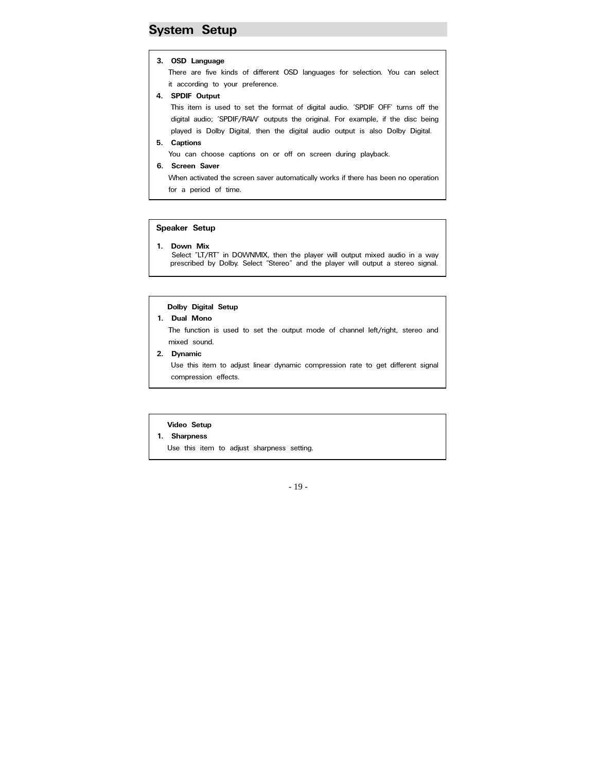### **System Setup**

#### **3. OSD Language**

T here are five kinds of different OSD languages for selection. You can select i it according to your preference.

**4. SPDIF Output**

 $\mathbb{R}$ 

 $\mathbb{R}$ 

This item is used to set the format of digital audio. 'SPDIF OFF' turns off the digital audio; 'SPDIF/RAW' outputs the original. For example, if the disc being played is Dolby Digital, then the digital audio output is also Dolby Digital.

 $\mathbb{R}$ **5. Captions** 

Y ou can choose captions on or off on screen during playback.

**6. Screen Saver**

W hen activated the screen saver automatically works if there has been no operation f or a period of time.

#### **Speaker Setup**

**1. Down Mix** Select "LT/RT" in DOWNMIX, then the player will output mixed audio in a way prescribed by Dolby. Select "Stereo" and the player will output a stereo signal.

#### **D olby Digital Setup**

**1. Dual Mono** 

T he function is used to set the output mode of channel left/right, stereo and m ixed sound.

**2. Dynamic** 

Use this item to adjust linear dynamic compression rate to get different signal compression effects.

### **<sup>V</sup> ideo Setup**

**1. Sharpness**

U se this item to adjust sharpness setting.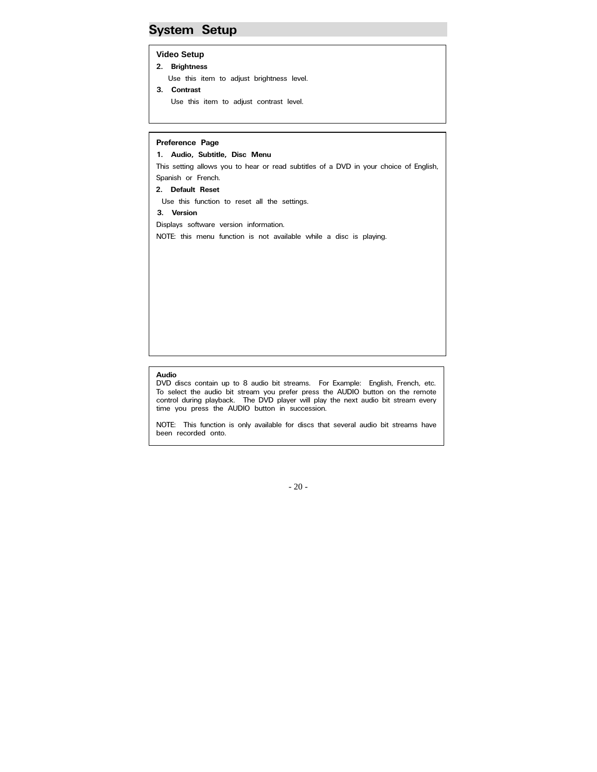### **System Setup**

### **Video Setup**

**2. Brightness** 

 $\mathbb{R}$ 

- Use this item to adjust brightness level.
- **3. Contrast**  Use this item to adjust contrast level.

#### **Preference Page**

**1. Audio, Subtitle, Disc Menu** 

This setting allows you to hear or read subtitles of a DVD in your choice of English, Spanish or French.

**2. Default Reset** 

Use this function to reset all the settings.

#### **3. Version**

 $\mathbb{R}$ 

 $\mathbb{R}$ 

 $\mathbb{R}$ 

 $\mathbb{R}$ 

Displays software version information.

NOTE: this menu function is not available while a disc is playing.

#### **Audio**

DVD discs contain up to 8 audio bit streams. For Example: English, French, etc. To select the audio bit stream you prefer press the AUDIO button on the remote control during playback. The DVD player will play the next audio bit stream every time you press the AUDIO button in succession.

NOTE: This function is only available for discs that several audio bit streams have been recorded onto.

- 20 -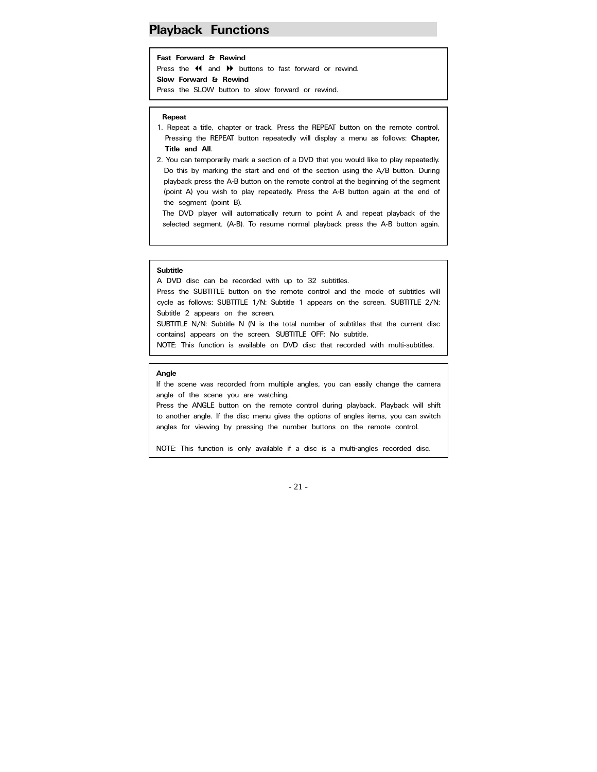### **Playback Functions**

#### **Fast Forward & Rewind**

Press the  $\triangleleft$  and  $\triangleright$  buttons to fast forward or rewind. **Slow Forward & Rewind** 

Press the SLOW button to slow forward or rewind.

#### **Repeat**

- 1. Repeat a title, chapter or track. Press the REPEAT button on the remote control. Pressing the REPEAT button repeatedly will display a menu as follows: **Chapter, Title and All**.
- 2. You can temporarily mark a section of a DVD that you would like to play repeatedly. Do this by marking the start and end of the section using the A/B button. During playback press the A-B button on the remote control at the beginning of the segment (point A) you wish to play repeatedly. Press the A-B button again at the end of the segment (point B).

The DVD player will automatically return to point A and repeat playback of the selected segment. (A-B). To resume normal playback press the A-B button again.

#### **Subtitle**

A DVD disc can be recorded with up to 32 subtitles.

Press the SUBTITLE button on the remote control and the mode of subtitles will cycle as follows: SUBTITLE 1/N: Subtitle 1 appears on the screen. SUBTITLE 2/N: Subtitle 2 appears on the screen.

SUBTITLE N/N: Subtitle N (N is the total number of subtitles that the current disc contains) appears on the screen. SUBTITLE OFF: No subtitle.

NOTE: This function is available on DVD disc that recorded with multi-subtitles.

#### **Angle**

If the scene was recorded from multiple angles, you can easily change the camera angle of the scene you are watching.

Press the ANGLE button on the remote control during playback. Playback will shift to another angle. If the disc menu gives the options of angles items, you can switch angles for viewing by pressing the number buttons on the remote control.

NOTE: This function is only available if a disc is a multi-angles recorded disc.

#### - 21 -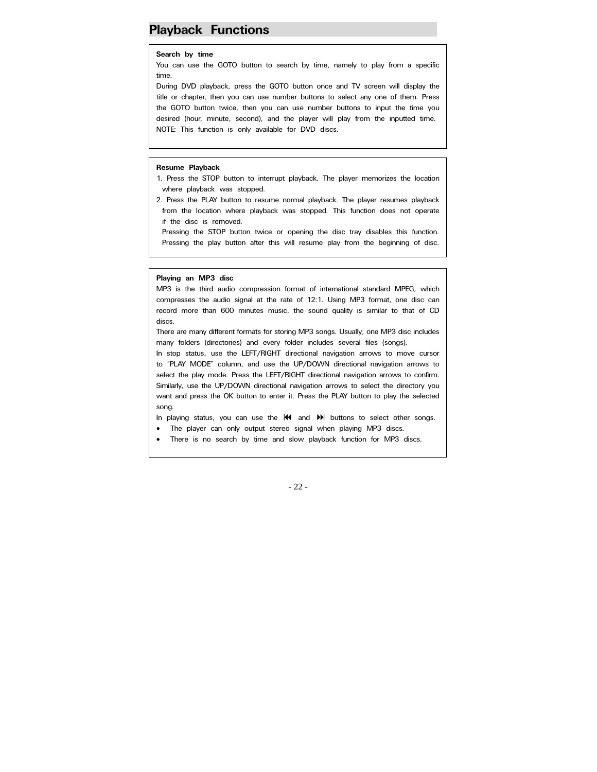### **Playback Functions**

#### **Search by time**

You can use the GOTO button to search by time, namely to play from a specific time.

During DVD playback, press the GOTO button once and TV screen will display the title or chapter, then you can use number buttons to select any one of them. Press the GOTO button twice, then you can use number buttons to input the time you desired (hour, minute, second), and the player will play from the inputted time. NOTE: This function is only available for DVD discs.

#### **Resume Playback**

 $\mathbf{I}$ 

1. Press the STOP button to interrupt playback. The player memorizes the location where playback was stopped.

2. Press the PLAY button to resume normal playback. The player resumes playback from the location where playback was stopped. This function does not operate if the disc is removed.

Pressing the STOP button twice or opening the disc tray disables this function. Pressing the play button after this will resume play from the beginning of disc.

#### **Playing an MP3 disc**

MP3 is the third audio compression format of international standard MPEG, which compresses the audio signal at the rate of 12:1. Using MP3 format, one disc can record more than 600 minutes music, the sound quality is similar to that of CD discs.

There are many different formats for storing MP3 songs. Usually, one MP3 disc includes many folders (directories) and every folder includes several files (songs).

In stop status, use the LEFT/RIGHT directional navigation arrows to move cursor to "PLAY MODE" column, and use the UP/DOWN directional navigation arrows to select the play mode. Press the LEFT/RIGHT directional navigation arrows to confirm. Similarly, use the UP/DOWN directional navigation arrows to select the directory you want and press the OK button to enter it. Press the PLAY button to play the selected song.

In playing status, you can use the  $\mathsf{M}$  and  $\mathsf{M}$  buttons to select other songs.

- The player can only output stereo signal when playing MP3 discs.
- There is no search by time and slow playback function for MP3 discs.

- 22 -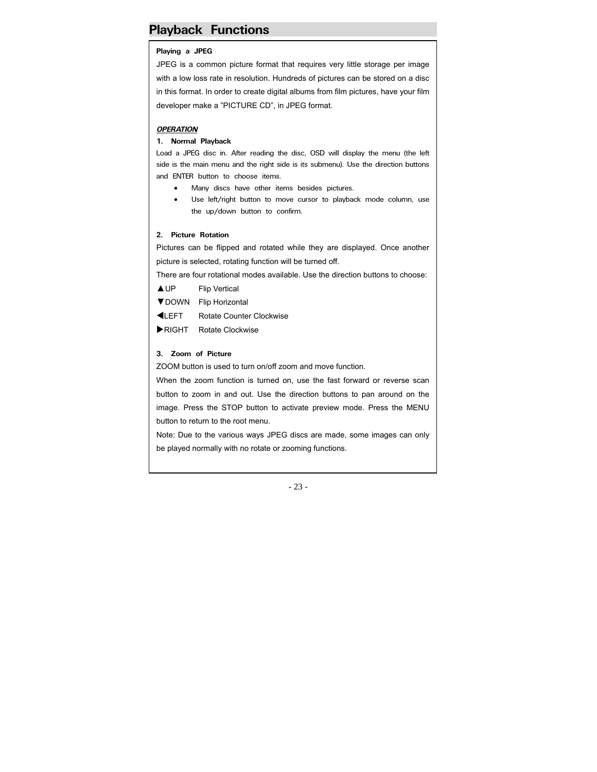### **Playback Functions**

#### **Playing a JPEG**

JPEG is a common picture format that requires very little storage per image with a low loss rate in resolution. Hundreds of pictures can be stored on a disc in this format. In order to create digital albums from film pictures, have your film developer make a "PICTURE CD", in JPEG format.

#### *OPERATION*

#### **1. Normal Playback**

Load a JPEG disc in. After reading the disc, OSD will display the menu (the left side is the main menu and the right side is its submenu). Use the direction buttons and ENTER button to choose items.

- Many discs have other items besides pictures.
- Use left/right button to move cursor to playback mode column, use the up/down button to confirm.

#### **2. Picture Rotation**

Pictures can be flipped and rotated while they are displayed. Once another picture is selected, rotating function will be turned off.

There are four rotational modes available. Use the direction buttons to choose:

▲UP Flip Vertical

- ▼DOWN Flip Horizontal
- **KLEFT** Rotate Counter Clockwise
- RIGHT Rotate Clockwise

#### **3. Zoom of Picture**

ZOOM button is used to turn on/off zoom and move function.

When the zoom function is turned on, use the fast forward or reverse scan button to zoom in and out. Use the direction buttons to pan around on the image. Press the STOP button to activate preview mode. Press the MENU button to return to the root menu.

Note: Due to the various ways JPEG discs are made, some images can only be played normally with no rotate or zooming functions.

- 23 -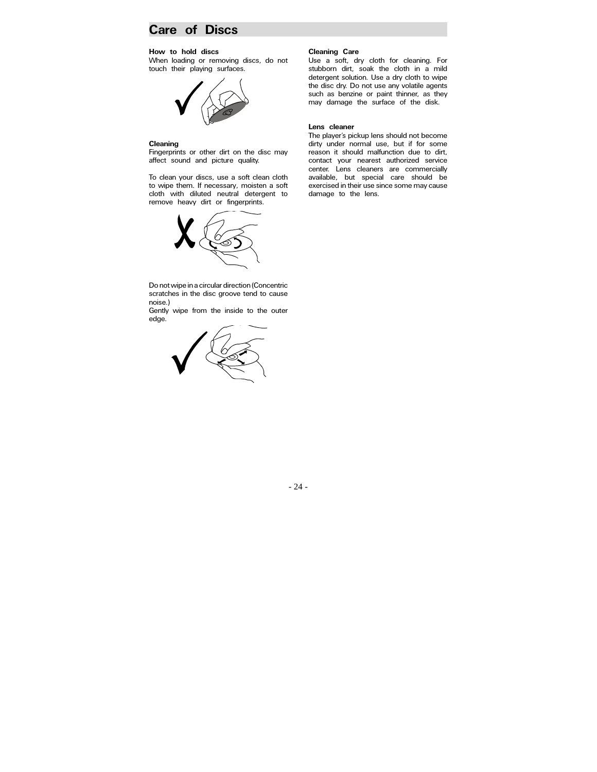### **Care of Discs**

#### **How to hold discs**

When loading or removing discs, do not touch their playing surfaces.



#### **Cleaning**

Fingerprints or other dirt on the disc may affect sound and picture quality.

To clean your discs, use a soft clean cloth to wipe them. If necessary, moisten a soft cloth with diluted neutral detergent to remove heavy dirt or fingerprints.



Do not wipe in a circular direction (Concentric scratches in the disc groove tend to cause noise.)

Gently wipe from the inside to the outer edge.



### **Cleaning Care**

Use a soft, dry cloth for cleaning. For stubborn dirt, soak the cloth in a mild detergent solution. Use a dry cloth to wipe the disc dry. Do not use any volatile agents such as benzine or paint thinner, as they may damage the surface of the disk.

#### **Lens cleaner**

The player's pickup lens should not become dirty under normal use, but if for some reason it should malfunction due to dirt, contact your nearest authorized service center. Lens cleaners are commercially available, but special care should be exercised in their use since some may cause damage to the lens.

- 24 -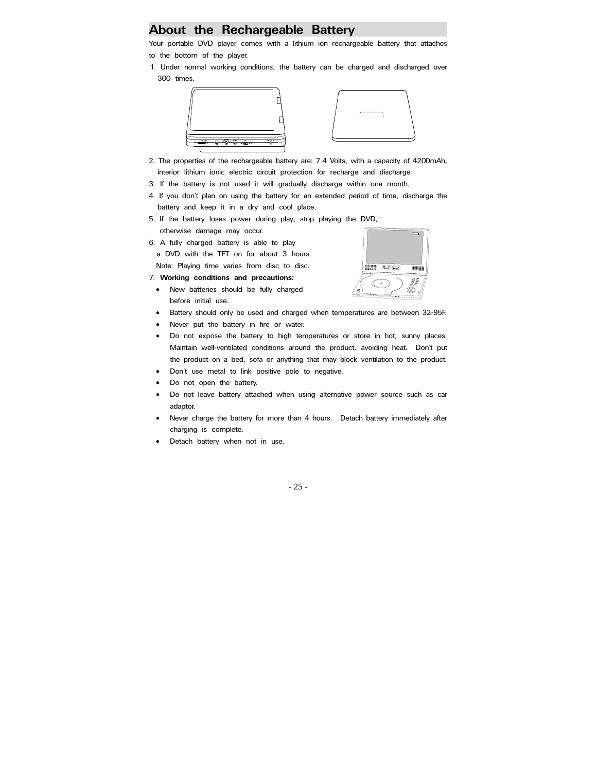### **About the Rechargeable Battery**

Your portable DVD player comes with a lithium ion rechargeable battery that attaches to the bottom of the player.

1. Under normal working conditions, the battery can be charged and discharged over 300 times.





 $\overline{\mathbb{C}\mathbb{C}\mathbb{C}}$ 

- 2. The properties of the rechargeable battery are: 7.4 Volts, with a capacity of 4200mAh, interior lithium ionic electric circuit protection for recharge and discharge.
- 3. If the battery is not used it will gradually discharge within one month.
- 4. If you don't plan on using the battery for an extended period of time, discharge the battery and keep it in a dry and cool place.
- 5. If the battery loses power during play, stop playing the DVD, otherwise damage may occur.
- 6. A fully charged battery is able to play a DVD with the TFT on for about 3 hours. Note: Playing time varies from disc to disc.
- 7. **Working conditions and precautions:**
	- New batteries should be fully charged before initial use.
	- Battery should only be used and charged when temperatures are between 32-95F.
	- Never put the battery in fire or water.
	- Do not expose the battery to high temperatures or store in hot, sunny places. Maintain well-ventilated conditions around the product, avoiding heat. Don't put the product on a bed, sofa or anything that may block ventilation to the product.
	- Don't use metal to link positive pole to negative.
	- Do not open the battery.
	- Do not leave battery attached when using alternative power source such as car adaptor.
	- Never charge the battery for more than 4 hours. Detach battery immediately after charging is complete.
	- Detach battery when not in use.

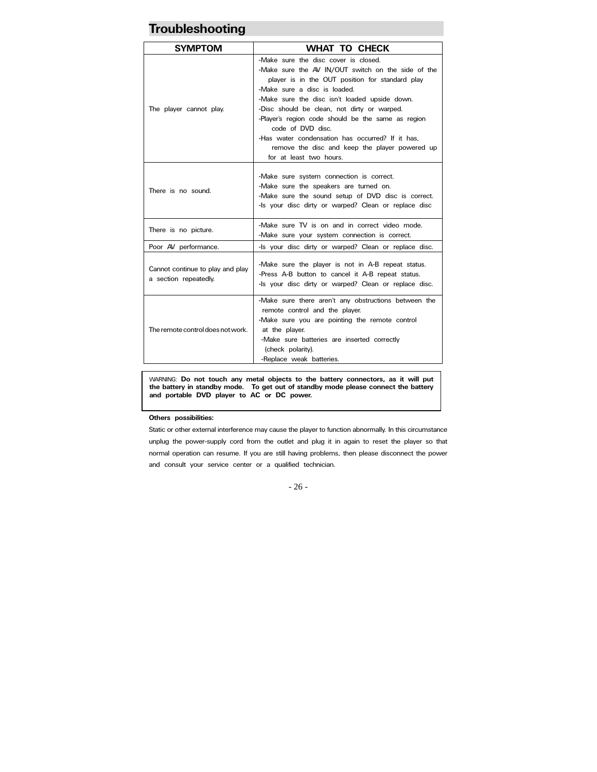### **Troubleshooting**

| <b>SYMPTOM</b>                                            | <b>WHAT TO CHECK</b>                                                                                                                                                                                                                                                                                                                                                                                                                                                                      |  |  |  |
|-----------------------------------------------------------|-------------------------------------------------------------------------------------------------------------------------------------------------------------------------------------------------------------------------------------------------------------------------------------------------------------------------------------------------------------------------------------------------------------------------------------------------------------------------------------------|--|--|--|
| The player cannot play.                                   | -Make sure the disc cover is closed.<br>-Make sure the AV IN/OUT switch on the side of the<br>player is in the OUT position for standard play<br>-Make sure a disc is loaded.<br>-Make sure the disc isn't loaded upside down.<br>-Disc should be clean, not dirty or warped.<br>-Player's region code should be the same as region<br>code of DVD disc.<br>-Has water condensation has occurred? If it has.<br>remove the disc and keep the player powered up<br>for at least two hours. |  |  |  |
| There is no sound.                                        | -Make sure system connection is correct.<br>-Make sure the speakers are turned on.<br>-Make sure the sound setup of DVD disc is correct.<br>-Is your disc dirty or warped? Clean or replace disc                                                                                                                                                                                                                                                                                          |  |  |  |
| There is no picture.                                      | -Make sure TV is on and in correct video mode.<br>-Make sure your system connection is correct.                                                                                                                                                                                                                                                                                                                                                                                           |  |  |  |
| Poor AV performance.                                      | -Is your disc dirty or warped? Clean or replace disc.                                                                                                                                                                                                                                                                                                                                                                                                                                     |  |  |  |
| Cannot continue to play and play<br>a section repeatedly. | -Make sure the player is not in A-B repeat status.<br>-Press A-B button to cancel it A-B repeat status.<br>-Is your disc dirty or warped? Clean or replace disc.                                                                                                                                                                                                                                                                                                                          |  |  |  |
| The remote control does not work.                         | -Make sure there aren't any obstructions between the<br>remote control and the player.<br>-Make sure you are pointing the remote control<br>at the player.<br>-Make sure batteries are inserted correctly<br>(check polarity).<br>-Replace weak batteries.                                                                                                                                                                                                                                |  |  |  |

WARNING: **Do not touch any metal objects to the battery connectors, as it will put the battery in standby mode. To get out of standby mode please connect the battery and portable DVD player to AC or DC power.**

#### **Others possibilities:**

Static or other external interference may cause the player to function abnormally. In this circumstance unplug the power-supply cord from the outlet and plug it in again to reset the player so that normal operation can resume. If you are still having problems, then please disconnect the power and consult your service center or a qualified technician.

- 26 -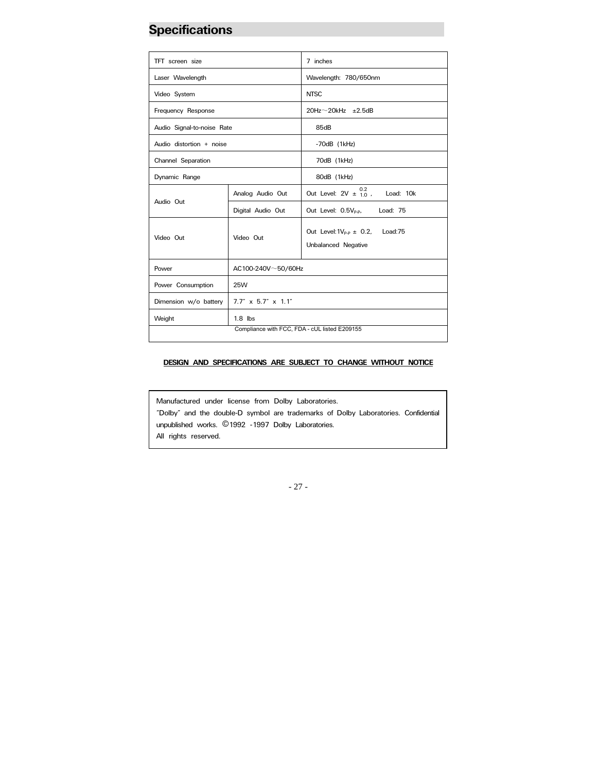## **Specifications**

| TFT screen size            |                                               | 7 inches                                                          |  |
|----------------------------|-----------------------------------------------|-------------------------------------------------------------------|--|
| Laser Wavelength           |                                               | Wavelength: 780/650nm                                             |  |
| Video System               |                                               | <b>NTSC</b>                                                       |  |
| Frequency Response         |                                               | $20$ Hz $\sim$ 20kHz $\pm$ 2.5dB                                  |  |
| Audio Signal-to-noise Rate |                                               | 85dB                                                              |  |
| Audio distortion + noise   |                                               | $-70dB$ (1kHz)                                                    |  |
| Channel Separation         |                                               | 70dB (1kHz)                                                       |  |
| Dynamic Range              |                                               | 80dB (1kHz)                                                       |  |
|                            | Analog Audio Out                              | 0.2<br>Out Level: $2V \pm 10$ ,<br>Load: 10k                      |  |
| Audio Out                  | Digital Audio Out                             | Out Level: 0.5V <sub>P-P</sub> ,<br>Load: 75                      |  |
| Video Out                  | Video Out                                     | Out Level: $1V_{p,p} \pm 0.2$ ,<br>Load:75<br>Unbalanced Negative |  |
| Power                      | $AC100-240V \sim 50/60Hz$                     |                                                                   |  |
| Power Consumption          | <b>25W</b>                                    |                                                                   |  |
| Dimension w/o battery      | $7.7''$ x 5.7" x 1.1"                         |                                                                   |  |
| Weight                     | $1.8$ lbs                                     |                                                                   |  |
|                            | Compliance with FCC, FDA - cUL listed E209155 |                                                                   |  |

#### **DESIGN AND SPECIFICATIONS ARE SUBJECT TO CHANGE WITHOUT NOTICE**

Manufactured under license from Dolby Laboratories. "Dolby" and the double-D symbol are trademarks of Dolby Laboratories. Confidential unpublished works. ©1992 -1997 Dolby Laboratories. All rights reserved.

- 27 -